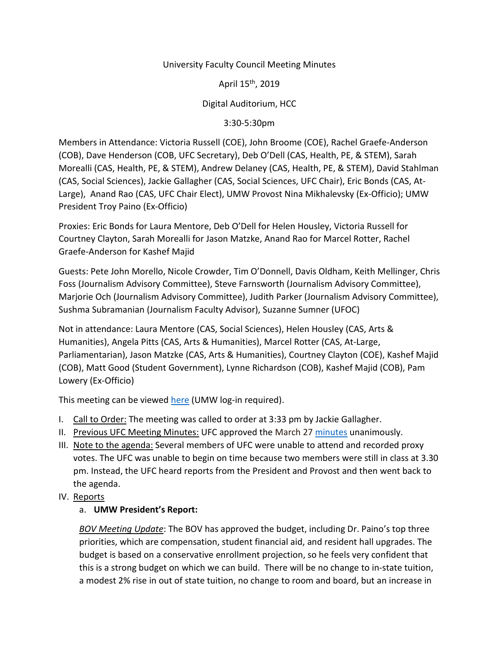### University Faculty Council Meeting Minutes

April 15th, 2019

Digital Auditorium, HCC

3:30-5:30pm

Members in Attendance: Victoria Russell (COE), John Broome (COE), Rachel Graefe-Anderson (COB), Dave Henderson (COB, UFC Secretary), Deb O'Dell (CAS, Health, PE, & STEM), Sarah Morealli (CAS, Health, PE, & STEM), Andrew Delaney (CAS, Health, PE, & STEM), David Stahlman (CAS, Social Sciences), Jackie Gallagher (CAS, Social Sciences, UFC Chair), Eric Bonds (CAS, At-Large), Anand Rao (CAS, UFC Chair Elect), UMW Provost Nina Mikhalevsky (Ex-Officio); UMW President Troy Paino (Ex-Officio)

Proxies: Eric Bonds for Laura Mentore, Deb O'Dell for Helen Housley, Victoria Russell for Courtney Clayton, Sarah Morealli for Jason Matzke, Anand Rao for Marcel Rotter, Rachel Graefe-Anderson for Kashef Majid

Guests: Pete John Morello, Nicole Crowder, Tim O'Donnell, Davis Oldham, Keith Mellinger, Chris Foss (Journalism Advisory Committee), Steve Farnsworth (Journalism Advisory Committee), Marjorie Och (Journalism Advisory Committee), Judith Parker (Journalism Advisory Committee), Sushma Subramanian (Journalism Faculty Advisor), Suzanne Sumner (UFOC)

Not in attendance: Laura Mentore (CAS, Social Sciences), Helen Housley (CAS, Arts & Humanities), Angela Pitts (CAS, Arts & Humanities), Marcel Rotter (CAS, At-Large, Parliamentarian), Jason Matzke (CAS, Arts & Humanities), Courtney Clayton (COE), Kashef Majid (COB), Matt Good (Student Government), Lynne Richardson (COB), Kashef Majid (COB), Pam Lowery (Ex-Officio)

This meeting can be viewed [here](https://ufc.umw.edu/recordings/april-4-2018-ufc-meeting/) (UMW log-in required).

- I. Call to Order: The meeting was called to order at 3:33 pm by Jackie Gallagher.
- II. Previous UFC Meeting Minutes: UFC approved the March 27 [minutes](https://ufc.umw.edu/wp-content/blogs.dir/3211/files/2019/04/UFC_Mar_27_2019_Minutes.pdf) unanimously.
- III. Note to the agenda: Several members of UFC were unable to attend and recorded proxy votes. The UFC was unable to begin on time because two members were still in class at 3.30 pm. Instead, the UFC heard reports from the President and Provost and then went back to the agenda.
- IV. Reports

# a. **UMW President's Report:**

*BOV Meeting Update*: The BOV has approved the budget, including Dr. Paino's top three priorities, which are compensation, student financial aid, and resident hall upgrades. The budget is based on a conservative enrollment projection, so he feels very confident that this is a strong budget on which we can build. There will be no change to in-state tuition, a modest 2% rise in out of state tuition, no change to room and board, but an increase in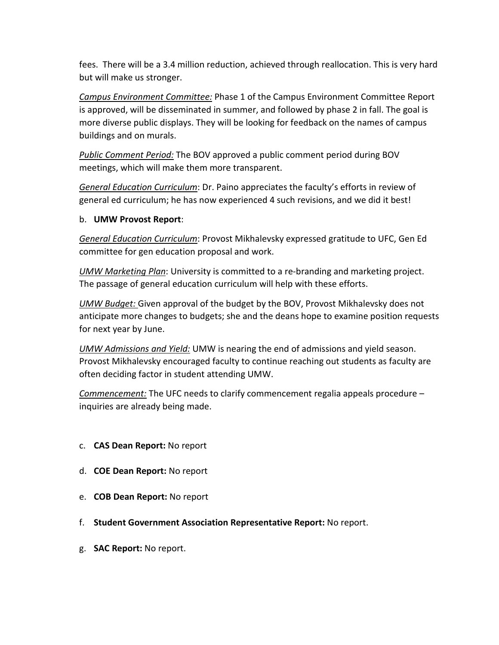fees. There will be a 3.4 million reduction, achieved through reallocation. This is very hard but will make us stronger.

*Campus Environment Committee:* Phase 1 of the Campus Environment Committee Report is approved, will be disseminated in summer, and followed by phase 2 in fall. The goal is more diverse public displays. They will be looking for feedback on the names of campus buildings and on murals.

*Public Comment Period:* The BOV approved a public comment period during BOV meetings, which will make them more transparent.

*General Education Curriculum*: Dr. Paino appreciates the faculty's efforts in review of general ed curriculum; he has now experienced 4 such revisions, and we did it best!

#### b. **UMW Provost Report**:

*General Education Curriculum*: Provost Mikhalevsky expressed gratitude to UFC, Gen Ed committee for gen education proposal and work.

*UMW Marketing Plan*: University is committed to a re-branding and marketing project. The passage of general education curriculum will help with these efforts.

*UMW Budget:* Given approval of the budget by the BOV, Provost Mikhalevsky does not anticipate more changes to budgets; she and the deans hope to examine position requests for next year by June.

*UMW Admissions and Yield:* UMW is nearing the end of admissions and yield season. Provost Mikhalevsky encouraged faculty to continue reaching out students as faculty are often deciding factor in student attending UMW.

*Commencement:* The UFC needs to clarify commencement regalia appeals procedure – inquiries are already being made.

- c. **CAS Dean Report:** No report
- d. **COE Dean Report:** No report
- e. **COB Dean Report:** No report
- f. **Student Government Association Representative Report:** No report.
- g. **SAC Report:** No report.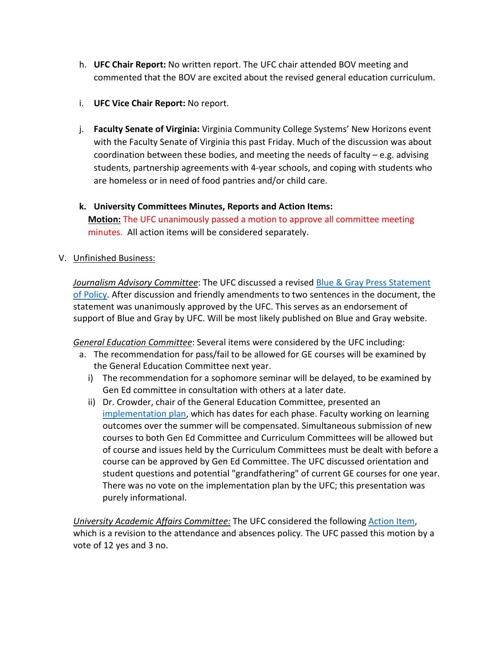- h. **UFC Chair Report:** No written report. The UFC chair attended BOV meeting and commented that the BOV are excited about the revised general education curriculum.
- i. **UFC Vice Chair Report:** No report.
- j. **Faculty Senate of Virginia:** Virginia Community College Systems' New Horizons event with the Faculty Senate of Virginia this past Friday. Much of the discussion was about coordination between these bodies, and meeting the needs of faculty – e.g. advising students, partnership agreements with 4-year schools, and coping with students who are homeless or in need of food pantries and/or child care.
- **k. University Committees Minutes, Reports and Action Items: Motion:** The UFC unanimously passed a motion to approve all committee meeting minutes. All action items will be considered separately.
- V. Unfinished Business:

*Journalism Advisory Committee*: The UFC discussed a revised [Blue & Gray Press Statement](https://ufc.umw.edu/wp-content/blogs.dir/3211/files/2019/04/JAC-Motion-April-11-Blue-Gray-Press-Statement.pdf)  [of Policy.](https://ufc.umw.edu/wp-content/blogs.dir/3211/files/2019/04/JAC-Motion-April-11-Blue-Gray-Press-Statement.pdf) After discussion and friendly amendments to two sentences in the document, the statement was unanimously approved by the UFC. This serves as an endorsement of support of Blue and Gray by UFC. Will be most likely published on Blue and Gray website.

*General Education Committee*: Several items were considered by the UFC including:

- a. The recommendation for pass/fail to be allowed for GE courses will be examined by the General Education Committee next year.
	- i) The recommendation for a sophomore seminar will be delayed, to be examined by Gen Ed committee in consultation with others at a later date.
	- ii) Dr. Crowder, chair of the General Education Committee, presented an [implementation plan,](https://ufc.umw.edu/wp-content/blogs.dir/3211/files/2019/04/2020GEProgramImplementation.pdf) which has dates for each phase. Faculty working on learning outcomes over the summer will be compensated. Simultaneous submission of new courses to both Gen Ed Committee and Curriculum Committees will be allowed but of course and issues held by the Curriculum Committees must be dealt with before a course can be approved by Gen Ed Committee. The UFC discussed orientation and student questions and potential "grandfathering" of current GE courses for one year. There was no vote on the implementation plan by the UFC; this presentation was purely informational.

*University Academic Affairs Committee:* The UFC considered the following [Action Item,](https://ufc.umw.edu/wp-content/blogs.dir/3211/files/2019/04/Attendance-and-Absences-Policy.pdf) which is a revision to the attendance and absences policy. The UFC passed this motion by a vote of 12 yes and 3 no.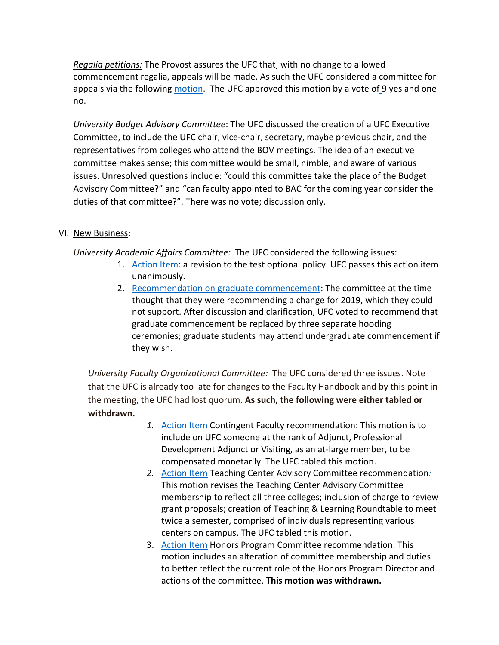*Regalia petitions:* The Provost assures the UFC that, with no change to allowed commencement regalia, appeals will be made. As such the UFC considered a committee for appeals via the followin[g motion.](https://ufc.umw.edu/wp-content/blogs.dir/3211/files/2019/04/Regalia-petition-committee.pdf) The UFC approved this motion by a vote of 9 yes and one no.

*University Budget Advisory Committee*: The UFC discussed the creation of a UFC Executive Committee, to include the UFC chair, vice-chair, secretary, maybe previous chair, and the representatives from colleges who attend the BOV meetings. The idea of an executive committee makes sense; this committee would be small, nimble, and aware of various issues. Unresolved questions include: "could this committee take the place of the Budget Advisory Committee?" and "can faculty appointed to BAC for the coming year consider the duties of that committee?". There was no vote; discussion only.

## VI. New Business:

*University Academic Affairs Committee:* The UFC considered the following issues:

- 1. [Action Item:](https://ufc.umw.edu/wp-content/blogs.dir/3211/files/2019/04/Test-Optional-Policy.pdf) a revision to the test optional policy. UFC passes this action item unanimously.
- 2. [Recommendation](https://ufc.umw.edu/wp-content/blogs.dir/3211/files/2019/04/Modification-of-graduate-commencement.pdf) on graduate commencement: The committee at the time thought that they were recommending a change for 2019, which they could not support. After discussion and clarification, UFC voted to recommend that graduate commencement be replaced by three separate hooding ceremonies; graduate students may attend undergraduate commencement if they wish.

*University Faculty Organizational Committee:* The UFC considered three issues. Note that the UFC is already too late for changes to the Faculty Handbook and by this point in the meeting, the UFC had lost quorum. **As such, the following were either tabled or withdrawn.**

- *1.* [Action Item](https://ufc.umw.edu/wp-content/blogs.dir/3211/files/2019/04/Contingent-Faculty-on-UFC-Recommendation.pdf) Contingent Faculty recommendation: This motion is to include on UFC someone at the rank of Adjunct, Professional Development Adjunct or Visiting, as an at-large member, to be compensated monetarily. The UFC tabled this motion.
- *2.* [Action Item](https://ufc.umw.edu/wp-content/blogs.dir/3211/files/2019/04/Faculty-Handbook-Changes-for-the-Teaching-Center-Advisory-Committee.pdf) Teaching Center Advisory Committee recommendation*:*  This motion revises the Teaching Center Advisory Committee membership to reflect all three colleges; inclusion of charge to review grant proposals; creation of Teaching & Learning Roundtable to meet twice a semester, comprised of individuals representing various centers on campus. The UFC tabled this motion.
- 3. [Action Item](https://ufc.umw.edu/wp-content/blogs.dir/3211/files/2019/04/UFOC-revised-Handbook-changes-Honors-Program-Committee.pdf) Honors Program Committee recommendation: This motion includes an alteration of committee membership and duties to better reflect the current role of the Honors Program Director and actions of the committee. **This motion was withdrawn.**